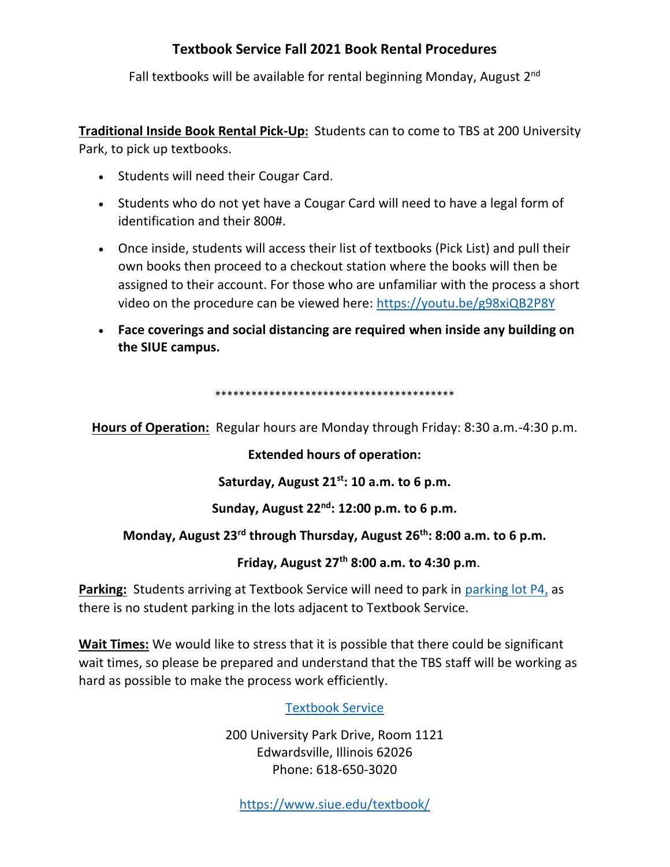## **Textbook Service Fall 2021 Book Rental Procedures**

Fall textbooks will be available for rental beginning Monday, August 2<sup>nd</sup>

**Traditional Inside Book Rental Pick-Up:** Students can to come to TBS at 200 University Park, to pick up textbooks.

- Students will need their Cougar Card.
- Students who do not yet have a Cougar Card will need to have a legal form of identification and their 800#.
- Once inside, students will access their list of textbooks (Pick List) and pull their own books then proceed to a checkout station where the books will then be assigned to their account. For those who are unfamiliar with the process a short video on the procedure can be viewed here:<https://youtu.be/g98xiQB2P8Y>
- **Face coverings and social distancing are required when inside any building on the SIUE campus.**

\*\*\*\*\*\*\*\*\*\*\*\*\*\*\*\*\*\*\*\*\*\*\*\*\*\*\*\*\*\*\*\*\*\*\*\*\*\*\*\*

**Hours of Operation:** Regular hours are Monday through Friday: 8:30 a.m.-4:30 p.m.

**Extended hours of operation:**

**Saturday, August 21st: 10 a.m. to 6 p.m.**

**Sunday, August 22nd: 12:00 p.m. to 6 p.m.**

## **Monday, August 23rd through Thursday, August 26th: 8:00 a.m. to 6 p.m.**

 **Friday, August 27th 8:00 a.m. to 4:30 p.m**.

Parking: Students arriving at Textbook Service will need to park in [parking lot P4,](https://www.siue.edu/textbook/img/TBSMap20.JPG) as there is no student parking in the lots adjacent to Textbook Service.

**Wait Times:** We would like to stress that it is possible that there could be significant wait times, so please be prepared and understand that the TBS staff will be working as hard as possible to make the process work efficiently.

[Textbook Service](https://www.siue.edu/textbook/find-us.shtml)

200 University Park Drive, Room 1121 [Edwardsville, Illinois 62026](https://www.siue.edu/textbook/find-us.shtml) Phone: 618-650-3020

<https://www.siue.edu/textbook/>